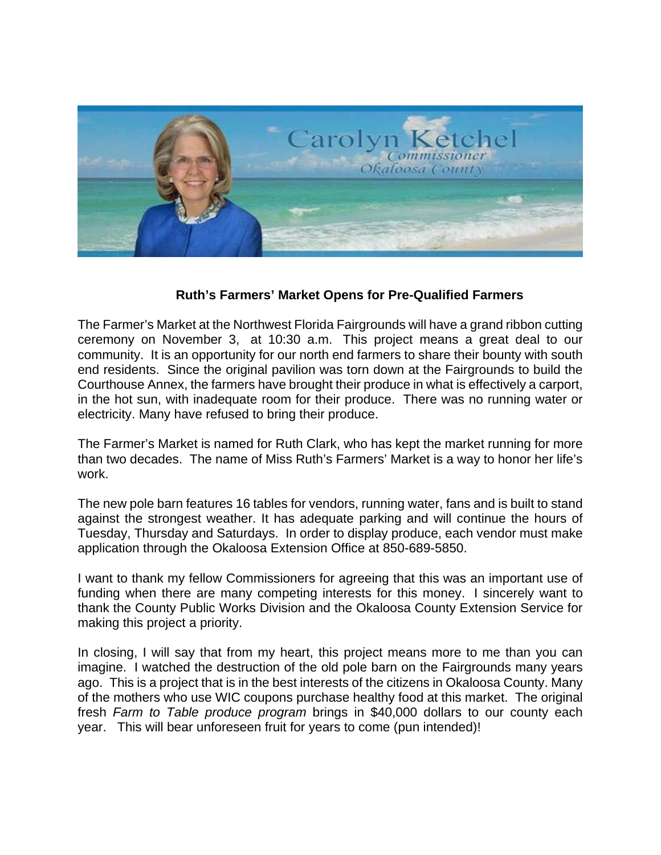

## **Ruth's Farmers' Market Opens for Pre-Qualified Farmers**

 ceremony on November 3, at 10:30 a.m. This project means a great deal to our The Farmer's Market at the Northwest Florida Fairgrounds will have a grand ribbon cutting community. It is an opportunity for our north end farmers to share their bounty with south end residents. Since the original pavilion was torn down at the Fairgrounds to build the Courthouse Annex, the farmers have brought their produce in what is effectively a carport, in the hot sun, with inadequate room for their produce. There was no running water or electricity. Many have refused to bring their produce.

The Farmer's Market is named for Ruth Clark, who has kept the market running for more than two decades. The name of Miss Ruth's Farmers' Market is a way to honor her life's work.

The new pole barn features 16 tables for vendors, running water, fans and is built to stand against the strongest weather. It has adequate parking and will continue the hours of Tuesday, Thursday and Saturdays. In order to display produce, each vendor must make application through the Okaloosa Extension Office at 850-689-5850.

I want to thank my fellow Commissioners for agreeing that this was an important use of funding when there are many competing interests for this money. I sincerely want to thank the County Public Works Division and the Okaloosa County Extension Service for making this project a priority.

In closing, I will say that from my heart, this project means more to me than you can imagine. I watched the destruction of the old pole barn on the Fairgrounds many years ago. This is a project that is in the best interests of the citizens in Okaloosa County. Many of the mothers who use WIC coupons purchase healthy food at this market. The original fresh *Farm to Table produce program* brings in \$40,000 dollars to our county each year. This will bear unforeseen fruit for years to come (pun intended)!